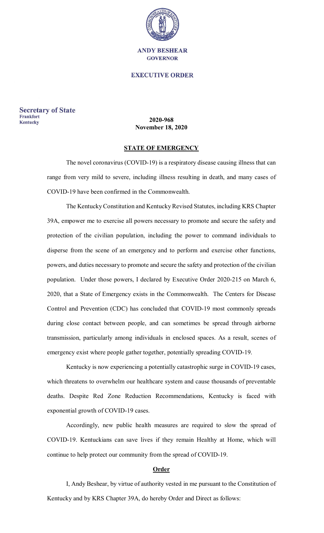

#### **EXECUTIVE ORDER**

**Secretary of State Frankfort** Kentucky

#### **2020-968 November 18, 2020**

### **STATE OF EMERGENCY**

The novel coronavirus (COVID-19) is a respiratory disease causing illness that can range from very mild to severe, including illness resulting in death, and many cases of COVID-19 have been confirmed in the Commonwealth.

The Kentucky Constitution and Kentucky Revised Statutes, including KRS Chapter 39A, empower me to exercise all powers necessary to promote and secure the safety and protection of the civilian population, including the power to command individuals to disperse from the scene of an emergency and to perform and exercise other functions, powers, and duties necessary to promote and secure the safety and protection of the civilian population. Under those powers, I declared by Executive Order 2020-215 on March 6, 2020, that a State of Emergency exists in the Commonwealth. The Centers for Disease Control and Prevention (CDC) has concluded that COVID-19 most commonly spreads during close contact between people, and can sometimes be spread through airborne transmission, particularly among individuals in enclosed spaces. As a result, scenes of emergency exist where people gather together, potentially spreading COVID-19.

Kentucky is now experiencing a potentially catastrophic surge in COVID-19 cases, which threatens to overwhelm our healthcare system and cause thousands of preventable deaths. Despite Red Zone Reduction Recommendations, Kentucky is faced with exponential growth of COVID-19 cases.

Accordingly, new public health measures are required to slow the spread of COVID-19. Kentuckians can save lives if they remain Healthy at Home, which will continue to help protect our community from the spread of COVID-19.

#### **Order**

I, Andy Beshear, by virtue of authority vested in me pursuant to the Constitution of Kentucky and by KRS Chapter 39A, do hereby Order and Direct as follows: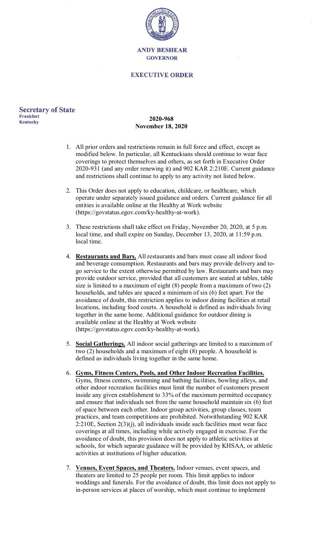

#### **EXECUTIVE ORDER**

#### **Secretary of State Frankfort Kentucky**

## **2020-968 November 18, 2020**

- 1. All prior orders and restrictions remain in full force and effect, except as modified below. In particular, all Kentuckians should continue to wear face coverings to protect themselves and others, as set forth in Executive Order 2020-931 (and any order renewing it) and 902 KAR 2:210E. Current guidance and restrictions shall continue to apply to any activity not listed below.
- 2. This Order does not apply to education, childcare, or healthcare, which operate under separately issued guidance and orders. Current guidance for all entities is available online at the Healthy at Work website (https://govstatus.egov.com/ky-healthy-at-work).
- 3. These restrictions shall take effect on Friday, November 20, 2020, at 5 p.m. local time, and shall expire on Sunday, December 13, 2020, at 11:59 p.m. local time.
- 4. **Restaurants and Bars.** All restaurants and bars must cease all indoor food and beverage consumption. Restaurants and bars may provide delivery and togo service to the extent otherwise permitted by law. Restaurants and bars may provide outdoor service, provided that all customers are seated at tables, table size is limited to a maximum of eight (8) people from a maximum of two (2) households, and tables are spaced a minimum of six (6) feet apart. For the avoidance of doubt, this restriction applies to indoor dining facilities at retail locations, including food courts. A household is defined as individuals living together in the same home. Additional guidance for outdoor dining is available online at the Healthy at Work website (https://govstatus.egov.com/ky-healthy-at-work).
- 5. **Social Gatherings.** All indoor social gatherings are limited to a maximum of two (2) households and a maximum of eight (8) people. A household is defined as individuals living together in the same home.
- 6. **Gyms, Fitness Centers, Pools, and Other Indoor Recreation Facilities.** Gyms, fitness centers, swimming and bathing facilities, bowling alleys, and other indoor recreation facilities must limit the number of customers present inside any given establishment to 33% of the maximum permitted occupancy and ensure that individuals not from the same household maintain six (6) feet of space between each other. Indoor group activities, group classes, team practices, and team competitions are prohibited. Notwithstanding 902 KAR 2:210E, Section 2(3)(j), all individuals inside such facilities must wear face coverings at all times, including while actively engaged in exercise. For the avoidance of doubt, this provision does not apply to athletic activities at schools, for which separate guidance will be provided by KHSAA, or athletic activities at institutions of higher education.
- 7. **Venues, Event Spaces, and Theaters.** Indoor venues, event spaces, and theaters are limited to 25 people per room. This limit applies to indoor weddings and funerals. For the avoidance of doubt, this limit does not apply to in-person services at places of worship, which must continue to implement